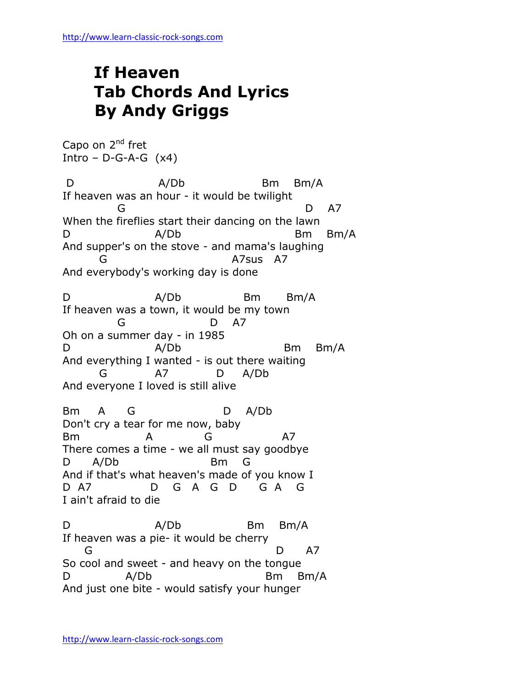## **If Heaven Tab Chords And Lyrics By Andy Griggs**

Capo on 2<sup>nd</sup> fret Intro –  $D-G-A-G$  (x4)

D A/Db Bm Bm/A If heaven was an hour - it would be twilight G D A7 When the fireflies start their dancing on the lawn D A/Db Bm Bm/A And supper's on the stove - and mama's laughing G A7sus A7 And everybody's working day is done D A/Db Bm Bm/A If heaven was a town, it would be my town G D A7 Oh on a summer day - in 1985 D A/Db Bm Bm/A And everything I wanted - is out there waiting G A7 D A/Db And everyone I loved is still alive Bm A G D A/Db Don't cry a tear for me now, baby Bm A G A7 There comes a time - we all must say goodbye D A/Db Bm G And if that's what heaven's made of you know I D A7 D G A G D G A G I ain't afraid to die D A/Db Bm Bm/A If heaven was a pie- it would be cherry G D A7 So cool and sweet - and heavy on the tongue D A/Db Bm Bm/A

And just one bite - would satisfy your hunger